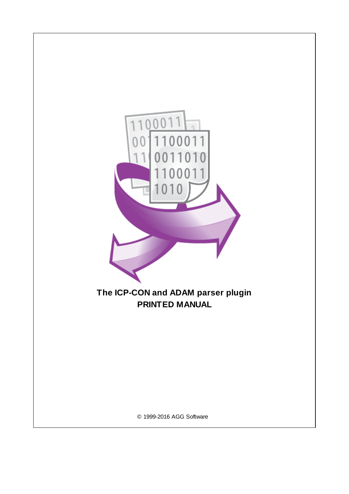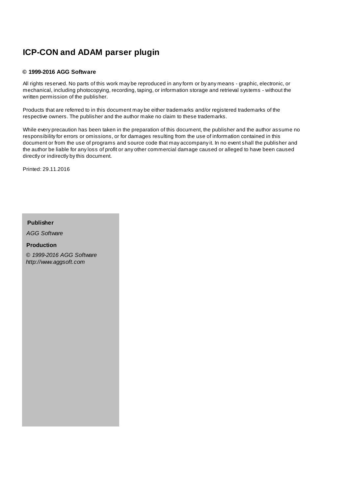# **ICP-CON and ADAM parser plugin**

#### **© 1999-2016 AGG Software**

All rights reserved. No parts of this work may be reproduced in any form or by any means - graphic, electronic, or mechanical, including photocopying, recording, taping, or information storage and retrieval systems - without the written permission of the publisher.

Products that are referred to in this document may be either trademarks and/or registered trademarks of the respective owners. The publisher and the author make no claim to these trademarks.

While every precaution has been taken in the preparation of this document, the publisher and the author assume no responsibility for errors or omissions, or for damages resulting from the use of information contained in this document or from the use of programs and source code that may accompany it. In no event shall the publisher and the author be liable for any loss of profit or any other commercial damage caused or alleged to have been caused directly or indirectly by this document.

Printed: 29.11.2016

**Publisher**

*AGG Software*

**Production**

*© 1999-2016 AGG Software http://www.aggsoft.com*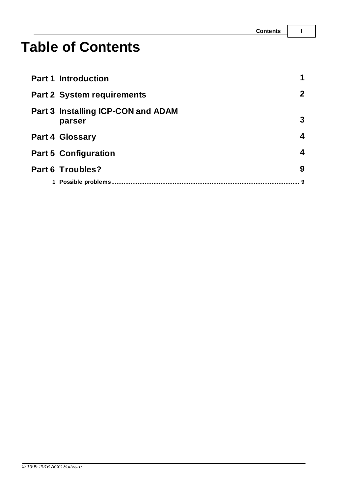# **Table of Contents**

| <b>Part 1 Introduction</b>                          | 1              |
|-----------------------------------------------------|----------------|
| <b>Part 2 System requirements</b>                   | 2 <sup>1</sup> |
| <b>Part 3 Installing ICP-CON and ADAM</b><br>parser | 3              |
| <b>Part 4 Glossary</b>                              | 4              |
| <b>Part 5 Configuration</b>                         | 4              |
| <b>Part 6 Troubles?</b>                             | 9              |
| 1 Possible problems                                 |                |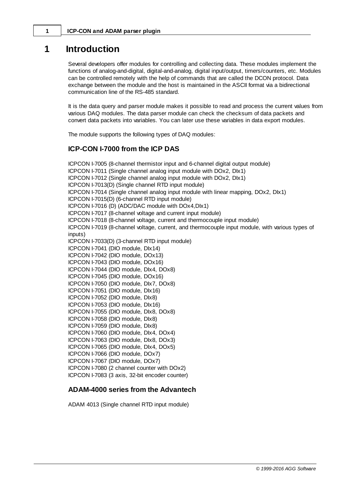# <span id="page-3-0"></span>**1 Introduction**

Several developers offer modules for controlling and collecting data. These modules implement the functions of analog-and-digital, digital-and-analog, digital input/output, timers/counters, etc. Modules can be controlled remotely with the help of commands that are called the DCON protocol. Data exchange between the module and the host is maintained in the ASCII format via a bidirectional communication line of the RS-485 standard.

It is the data query and parser module makes it possible to read and process the current values from various DAQ modules. The data parser module can check the checksum of data packets and convert data packets into variables. You can later use these variables in data export modules.

The module supports the following types of DAQ modules:

### **ICP-CON I-7000 from the ICP DAS**

ICPCON I-7005 (8-channel thermistor input and 6-channel digital output module) ICPCON I-7011 (Single channel analog input module with DOx2, DIx1) ICPCON I-7012 (Single channel analog input module with DOx2, DIx1) ICPCON I-7013(D) (Single channel RTD input module) ICPCON I-7014 (Single channel analog input module with linear mapping, DOx2, DIx1) ICPCON I-7015(D) (6-channel RTD input module) ICPCON I-7016 (D) (ADC/DAC module with DOx4,DIx1) ICPCON I-7017 (8-channel voltage and current input module) ICPCON I-7018 (8-channel voltage, current and thermocouple input module) ICPCON I-7019 (8-channel voltage, current, and thermocouple input module, with various types of inputs) ICPCON I-7033(D) (3-channel RTD input module) ICPCON I-7041 (DIO module, DIx14) ICPCON I-7042 (DIO module, DOx13) ICPCON I-7043 (DIO module, DOx16) ICPCON I-7044 (DIO module, DIx4, DOx8) ICPCON I-7045 (DIO module, DOx16) ICPCON I-7050 (DIO module, DIx7, DOx8) ICPCON I-7051 (DIO module, DIx16) ICPCON I-7052 (DIO module, DIx8) ICPCON I-7053 (DIO module, DIx16) ICPCON I-7055 (DIO module, DIx8, DOx8) ICPCON I-7058 (DIO module, DIx8) ICPCON I-7059 (DIO module, DIx8) ICPCON I-7060 (DIO module, DIx4, DOx4) ICPCON I-7063 (DIO module, DIx8, DOx3) ICPCON I-7065 (DIO module, DIx4, DOx5) ICPCON I-7066 (DIO module, DOx7) ICPCON I-7067 (DIO module, DOx7) ICPCON I-7080 (2 channel counter with DOx2) ICPCON I-7083 (3 axis, 32-bit encoder counter)

### **ADAM-4000 series from the Advantech**

ADAM 4013 (Single channel RTD input module)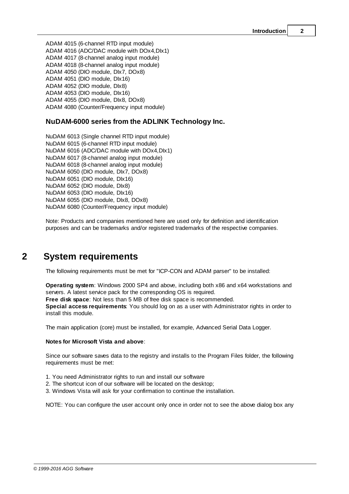ADAM 4015 (6-channel RTD input module) ADAM 4016 (ADC/DAC module with DOx4,DIx1) ADAM 4017 (8-channel analog input module) ADAM 4018 (8-channel analog input module) ADAM 4050 (DIO module, DIx7, DOx8) ADAM 4051 (DIO module, DIx16) ADAM 4052 (DIO module, DIx8) ADAM 4053 (DIO module, DIx16) ADAM 4055 (DIO module, DIx8, DOx8) ADAM 4080 (Counter/Frequency input module)

### **NuDAM-6000 series from the ADLINK Technology Inc.**

NuDAM 6013 (Single channel RTD input module) NuDAM 6015 (6-channel RTD input module) NuDAM 6016 (ADC/DAC module with DOx4,DIx1) NuDAM 6017 (8-channel analog input module) NuDAM 6018 (8-channel analog input module) NuDAM 6050 (DIO module, DIx7, DOx8) NuDAM 6051 (DIO module, DIx16) NuDAM 6052 (DIO module, DIx8) NuDAM 6053 (DIO module, DIx16) NuDAM 6055 (DIO module, DIx8, DOx8) NuDAM 6080 (Counter/Frequency input module)

Note: Products and companies mentioned here are used only for definition and identification purposes and can be trademarks and/or registered trademarks of the respective companies.

# <span id="page-4-0"></span>**2 System requirements**

The following requirements must be met for "ICP-CON and ADAM parser" to be installed:

**Operating system**: Windows 2000 SP4 and above, including both x86 and x64 workstations and servers. A latest service pack for the corresponding OS is required. **Free disk space**: Not less than 5 MB of free disk space is recommended.

**Special access requirements**: You should log on as a user with Administrator rights in order to install this module.

The main application (core) must be installed, for example, Advanced Serial Data Logger.

#### **Notes for Microsoft Vista and above**:

Since our software saves data to the registry and installs to the Program Files folder, the following requirements must be met:

- 1. You need Administrator rights to run and install our software
- 2. The shortcut icon of our software will be located on the desktop;
- 3. Windows Vista will ask for your confirmation to continue the installation.

NOTE: You can configure the user account only once in order not to see the above dialog box any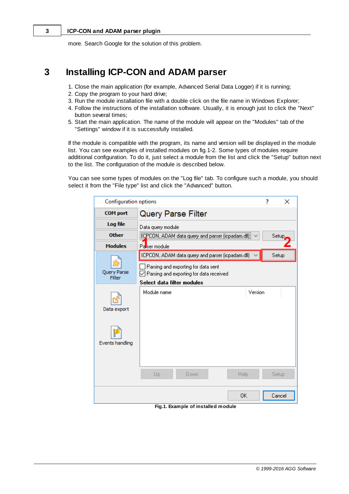#### **3 ICP-CON and ADAM parser plugin**

more. Search Google for the solution of this problem.

# <span id="page-5-0"></span>**3 Installing ICP-CON and ADAM parser**

- 1. Close the main application (for example, Advanced Serial Data Logger) if it is running;
- 2. Copy the program to your hard drive;
- 3. Run the module installation file with a double click on the file name in Windows Explorer;
- 4. Follow the instructions of the installation software. Usually, it is enough just to click the "Next" button several times;
- 5. Start the main application. The name of the module will appear on the "Modules" tab of the "Settings" window if it is successfully installed.

If the module is compatible with the program, its name and version will be displayed in the module list. You can see examples of installed modules on fig.1-2. Some types of modules require additional configuration. To do it, just select a module from the list and click the "Setup" button next to the list. The configuration of the module is described below.

You can see some types of modules on the "Log file" tab. To configure such a module, you should select it from the "File type" list and click the "Advanced" button.

| <b>Configuration options</b>                                                                                                                                                                       |                                                   | 7 | ×      |  |  |
|----------------------------------------------------------------------------------------------------------------------------------------------------------------------------------------------------|---------------------------------------------------|---|--------|--|--|
| <b>COM</b> port                                                                                                                                                                                    | <b>Query Parse Filter</b>                         |   |        |  |  |
| Log file                                                                                                                                                                                           | Data query module                                 |   |        |  |  |
| <b>Other</b>                                                                                                                                                                                       | [CPCON, ADAM data query and parser (icpadam.dll)] |   | Setup  |  |  |
| <b>Modules</b>                                                                                                                                                                                     | Passer module                                     |   |        |  |  |
| ICPCON, ADAM data query and parser (icpadam.dll)<br>Setup<br>Parsing and exporting for data sent<br>Query Parse<br>Parsing and exporting for data received<br>Filter<br>Select data filter modules |                                                   |   |        |  |  |
| Data export<br>Events handling                                                                                                                                                                     | Module name<br>Version                            |   |        |  |  |
|                                                                                                                                                                                                    | Up<br>Down<br>Help                                |   | Setup  |  |  |
|                                                                                                                                                                                                    | ΟK                                                |   | Cancel |  |  |

**Fig.1. Example of installed module**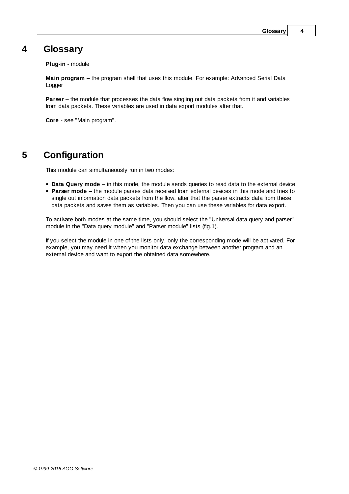### <span id="page-6-0"></span>**4 Glossary**

**Plug-in** - module

**Main program** – the program shell that uses this module. For example: Advanced Serial Data Logger

**Parser** – the module that processes the data flow singling out data packets from it and variables from data packets. These variables are used in data export modules after that.

**Core** - see "Main program".

# <span id="page-6-1"></span>**5 Configuration**

This module can simultaneously run in two modes:

- **Data Query mode** in this mode, the module sends queries to read data to the external device.
- **Parser mode** the module parses data received from external devices in this mode and tries to single out information data packets from the flow, after that the parser extracts data from these data packets and saves them as variables. Then you can use these variables for data export.

To activate both modes at the same time, you should select the "Universal data query and parser" module in the "Data query module" and "Parser module" lists (fig.1).

If you select the module in one of the lists only, only the corresponding mode will be activated. For example, you may need it when you monitor data exchange between another program and an external device and want to export the obtained data somewhere.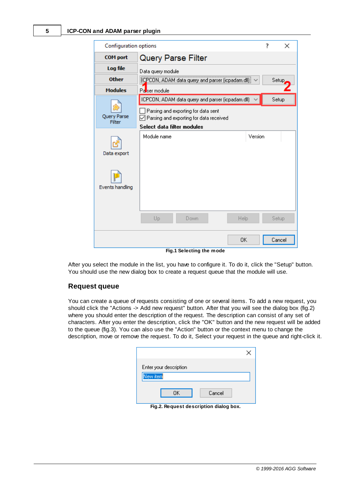

**Fig.1 Selecting the mode**

After you select the module in the list, you have to configure it. To do it, click the "Setup" button. You should use the new dialog box to create a request queue that the module will use.

#### **Request queue**

You can create a queue of requests consisting of one or several items. To add a new request, you should click the "Actions -> Add new request" button. After that you will see the dialog box (fig.2) where you should enter the description of the request. The description can consist of any set of characters. After you enter the description, click the "OK" button and the new request will be added to the queue (fig.3). You can also use the "Action" button or the context menu to change the description, move or remove the request. To do it, Select your request in the queue and right-click it.

| Enter your description |        |
|------------------------|--------|
| New item               |        |
| ΩK                     | Cancel |

**Fig.2. Request description dialog box.**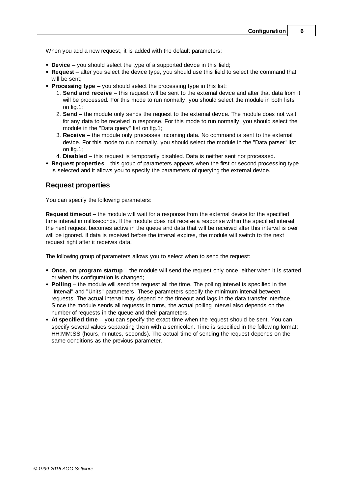When you add a new request, it is added with the default parameters:

- **Device** you should select the type of a supported device in this field;
- **Request** after you select the device type, you should use this field to select the command that will be sent;
- <span id="page-8-0"></span>**Processing type** – you should select the processing type in this list;
	- 1. **Send and receive** this request will be sent to the external device and after that data from it will be processed. For this mode to run normally, you should select the module in both lists on fig.1;
	- 2. **Send** the module only sends the request to the external device. The module does not wait for any data to be received in response. For this mode to run normally, you should select the module in the "Data query" list on fig.1;
	- 3. **Receive** the module only processes incoming data. No command is sent to the external device. For this mode to run normally, you should select the module in the "Data parser" list on fig.1;
	- 4. **Disabled** this request is temporarily disabled. Data is neither sent nor processed.
- **Request properties** this group of parameters appears when the first or second processing type is selected and it allows you to specify the parameters of querying the external device.

### **Request properties**

You can specify the following parameters:

**Request timeout** – the module will wait for a response from the external device for the specified time interval in milliseconds. If the module does not receive a response within the specified interval, the next request becomes active in the queue and data that will be received after this interval is over will be ignored. If data is received before the interval expires, the module will switch to the next request right after it receives data.

The following group of parameters allows you to select when to send the request:

- **Once, on program startup** the module will send the request only once, either when it is started or when its configuration is changed;
- **Polling** the module will send the request all the time. The polling interval is specified in the "Interval" and "Units" parameters. These parameters specify the minimum interval between requests. The actual interval may depend on the timeout and lags in the data transfer interface. Since the module sends all requests in turns, the actual polling interval also depends on the number of requests in the queue and their parameters.
- **At specified time** you can specify the exact time when the request should be sent. You can specify several values separating them with a semicolon. Time is specified in the following format: HH:MM:SS (hours, minutes, seconds). The actual time of sending the request depends on the same conditions as the previous parameter.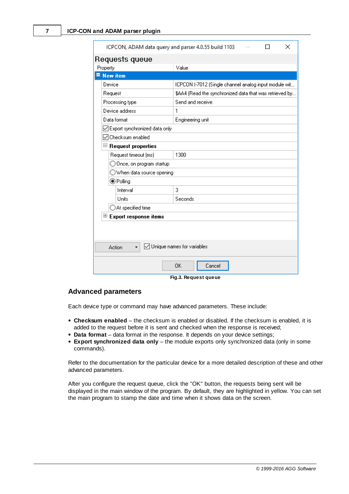| ICPCON, ADAM data query and parser 4.0.55 build 1103<br>$\times$ |                                                         |  |  |  |  |  |
|------------------------------------------------------------------|---------------------------------------------------------|--|--|--|--|--|
| Requests queue                                                   |                                                         |  |  |  |  |  |
| Property                                                         | Value                                                   |  |  |  |  |  |
| $\blacksquare$ New item                                          |                                                         |  |  |  |  |  |
| Device                                                           | ICPCON I-7012 (Single channel analog input module wit   |  |  |  |  |  |
| Request                                                          | \$AA4 (Read the synchronized data that was retrieved by |  |  |  |  |  |
| Processing type                                                  | Send and receive                                        |  |  |  |  |  |
| Device address                                                   | 1                                                       |  |  |  |  |  |
| Data format                                                      | Engineering unit                                        |  |  |  |  |  |
| ○ Export synchronized data only                                  |                                                         |  |  |  |  |  |
| □ Checksum enabled                                               |                                                         |  |  |  |  |  |
| <b>Request properties</b><br>ᆸ                                   |                                                         |  |  |  |  |  |
| Request timeout (ms)                                             | 1300                                                    |  |  |  |  |  |
| Once, on program startup                                         |                                                         |  |  |  |  |  |
|                                                                  | ) When data source opening                              |  |  |  |  |  |
| ◉ Polling                                                        |                                                         |  |  |  |  |  |
| Interval                                                         | 3                                                       |  |  |  |  |  |
| Units                                                            | Seconds                                                 |  |  |  |  |  |
| $\supset$ At specified time                                      |                                                         |  |  |  |  |  |
| $\mathbf{\mathbf{\Xi}}$ Export response items                    |                                                         |  |  |  |  |  |
|                                                                  |                                                         |  |  |  |  |  |
|                                                                  |                                                         |  |  |  |  |  |
| ◯ Unique names for variables<br>Action                           |                                                         |  |  |  |  |  |
| 0K<br>Cancel                                                     |                                                         |  |  |  |  |  |

**Fig.3. Request queue**

#### **Advanced parameters**

Each device type or command may have advanced parameters. These include:

- **Checksum enabled** the checksum is enabled or disabled. If the checksum is enabled, it is added to the request before it is sent and checked when the response is received;
- **Data format** data format in the response. It depends on your device settings;
- **Export synchronized data only** the module exports only synchronized data (only in some commands).

Refer to the documentation for the particular device for a more detailed description of these and other advanced parameters.

After you configure the request queue, click the "OK" button, the requests being sent will be displayed in the main window of the program. By default, they are highlighted in yellow. You can set the main program to stamp the date and time when it shows data on the screen.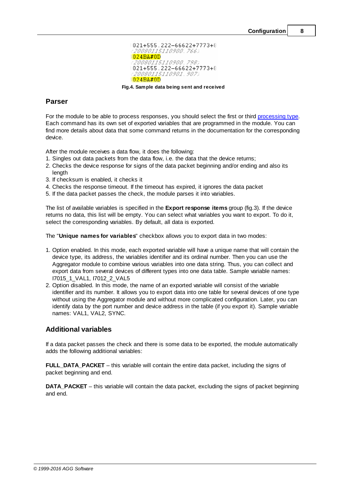

**Fig.4. Sample data being sent and received**

### **Parser**

For the module to be able to process responses, you should select the first or third [processing](#page-8-0) type. Each command has its own set of exported variables that are programmed in the module. You can find more details about data that some command returns in the documentation for the corresponding device.

After the module receives a data flow, it does the following:

- 1. Singles out data packets from the data flow, i.e. the data that the device returns;
- 2. Checks the device response for signs of the data packet beginning and/or ending and also its length
- 3. If checksum is enabled, it checks it
- 4. Checks the response timeout. If the timeout has expired, it ignores the data packet
- 5. If the data packet passes the check, the module parses it into variables.

The list of available variables is specified in the **Export response items** group (fig.3). If the device returns no data, this list will be empty. You can select what variables you want to export. To do it, select the corresponding variables. By default, all data is exported.

The "**Unique names for variables**" checkbox allows you to export data in two modes:

- 1. Option enabled. In this mode, each exported variable will have a unique name that will contain the device type, its address, the variables identifier and its ordinal number. Then you can use the Aggregator module to combine various variables into one data string. Thus, you can collect and export data from several devices of different types into one data table. Sample variable names: I7015\_1\_VAL1, I7012\_2\_VAL5
- 2. Option disabled. In this mode, the name of an exported variable will consist of the variable identifier and its number. It allows you to export data into one table for several devices of one type without using the Aggregator module and without more complicated configuration. Later, you can identify data by the port number and device address in the table (if you export it). Sample variable names: VAL1, VAL2, SYNC.

### **Additional variables**

If a data packet passes the check and there is some data to be exported, the module automatically adds the following additional variables:

**FULL\_DATA\_PACKET** – this variable will contain the entire data packet, including the signs of packet beginning and end.

**DATA\_PACKET** – this variable will contain the data packet, excluding the signs of packet beginning and end.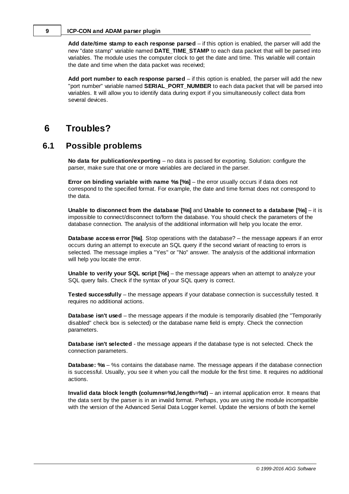#### **9 ICP-CON and ADAM parser plugin**

**Add date/time stamp to each response parsed** – if this option is enabled, the parser will add the new "date stamp" variable named **DATE\_TIME\_STAMP** to each data packet that will be parsed into variables. The module uses the computer clock to get the date and time. This variable will contain the date and time when the data packet was received;

**Add port number to each response parsed** – if this option is enabled, the parser will add the new "port number" variable named **SERIAL\_PORT\_NUMBER** to each data packet that will be parsed into variables. It will allow you to identify data during export if you simultaneously collect data from several devices.

### <span id="page-11-0"></span>**6 Troubles?**

### **6.1 Possible problems**

**No data for publication/exporting** – no data is passed for exporting. Solution: configure the parser, make sure that one or more variables are declared in the parser.

**Error on binding variable with name %s [%s]** – the error usually occurs if data does not correspond to the specified format. For example, the date and time format does not correspond to the data.

**Unable to disconnect from the database [%s]** and **Unable to connect to a database [%s]** – it is impossible to connect/disconnect to/form the database. You should check the parameters of the database connection. The analysis of the additional information will help you locate the error.

**Database access error [%s]**. Stop operations with the database? – the message appears if an error occurs during an attempt to execute an SQL query if the second variant of reacting to errors is selected. The message implies a "Yes" or "No" answer. The analysis of the additional information will help you locate the error.

**Unable to verify your SQL script [%s]** – the message appears when an attempt to analyze your SQL query fails. Check if the syntax of your SQL query is correct.

**Tested successfully** – the message appears if your database connection is successfully tested. It requires no additional actions.

**Database isn't used** – the message appears if the module is temporarily disabled (the "Temporarily disabled" check box is selected) or the database name field is empty. Check the connection parameters.

**Database isn't selected** - the message appears if the database type is not selected. Check the connection parameters.

**Database: %s** – %s contains the database name. The message appears if the database connection is successful. Usually, you see it when you call the module for the first time. It requires no additional actions.

**Invalid data block length (columns=%d,length=%d)** – an internal application error. It means that the data sent by the parser is in an invalid format. Perhaps, you are using the module incompatible with the version of the Advanced Serial Data Logger kernel. Update the versions of both the kernel